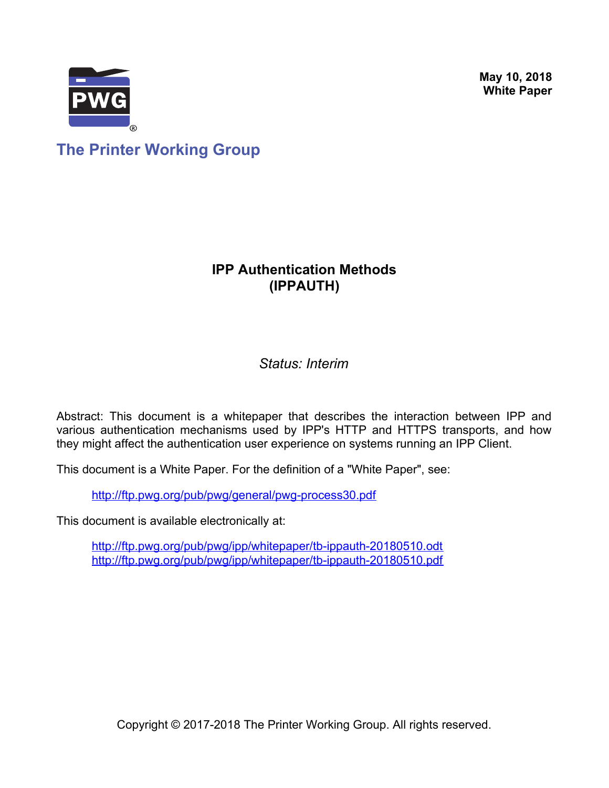**May 10, 2018 White Paper**



**The Printer Working Group**

## **IPP Authentication Methods (IPPAUTH)**

*Status: Interim*

Abstract: This document is a whitepaper that describes the interaction between IPP and various authentication mechanisms used by IPP's HTTP and HTTPS transports, and how they might affect the authentication user experience on systems running an IPP Client.

This document is a White Paper. For the definition of a "White Paper", see:

<http://ftp.pwg.org/pub/pwg/general/pwg-process30.pdf>

This document is available electronically at:

<http://ftp.pwg.org/pub/pwg/ipp/whitepaper/tb-ippauth-20180510.odt> <http://ftp.pwg.org/pub/pwg/ipp/whitepaper/tb-ippauth-20180510.pdf>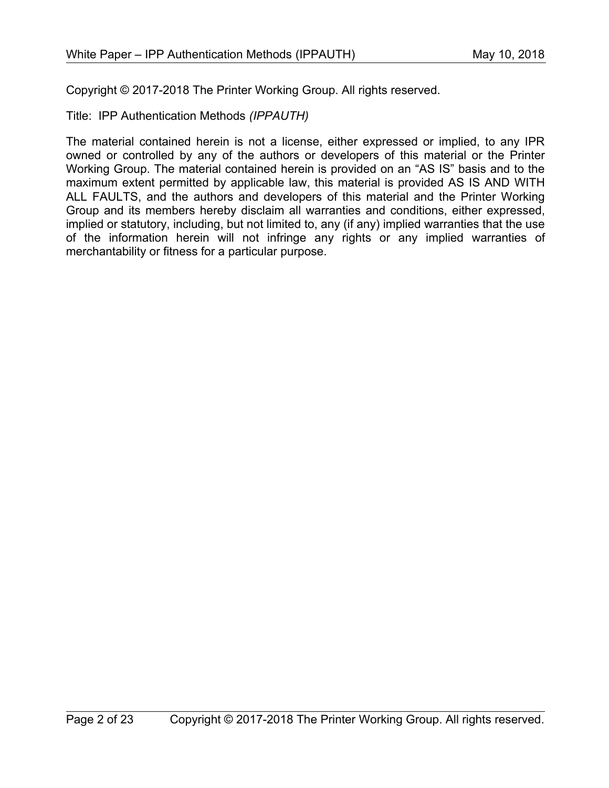Copyright © 2017-2018 The Printer Working Group. All rights reserved.

Title: IPP Authentication Methods *(IPPAUTH)*

The material contained herein is not a license, either expressed or implied, to any IPR owned or controlled by any of the authors or developers of this material or the Printer Working Group. The material contained herein is provided on an "AS IS" basis and to the maximum extent permitted by applicable law, this material is provided AS IS AND WITH ALL FAULTS, and the authors and developers of this material and the Printer Working Group and its members hereby disclaim all warranties and conditions, either expressed, implied or statutory, including, but not limited to, any (if any) implied warranties that the use of the information herein will not infringe any rights or any implied warranties of merchantability or fitness for a particular purpose.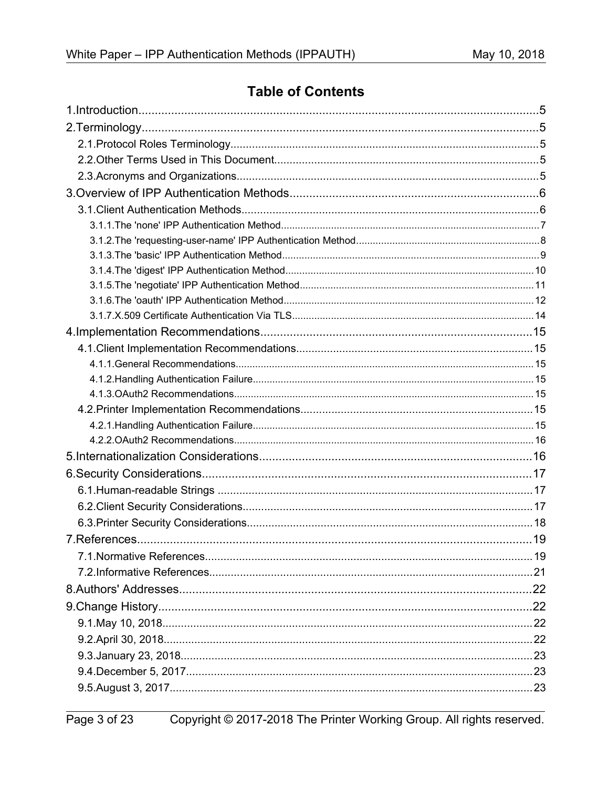## **Table of Contents**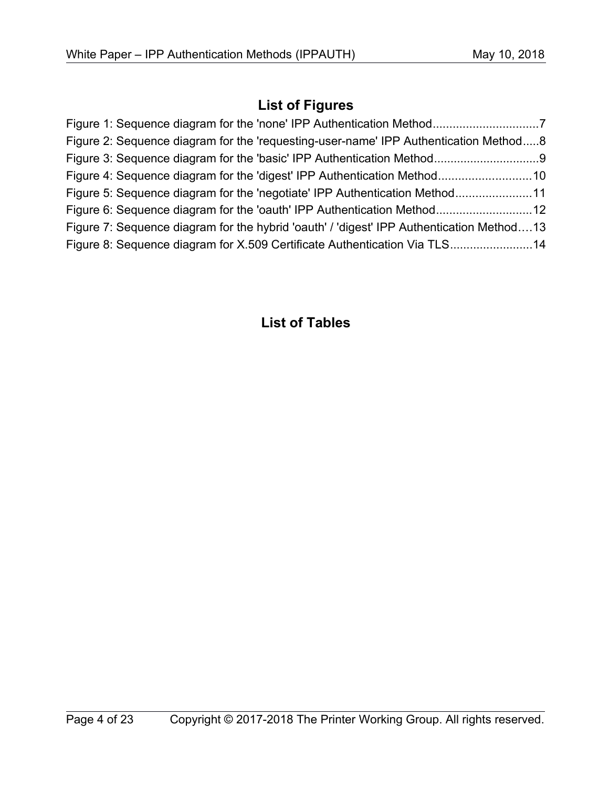## **List of Figures**

| Figure 2: Sequence diagram for the 'requesting-user-name' IPP Authentication Method8     |  |
|------------------------------------------------------------------------------------------|--|
|                                                                                          |  |
|                                                                                          |  |
| Figure 5: Sequence diagram for the 'negotiate' IPP Authentication Method11               |  |
|                                                                                          |  |
| Figure 7: Sequence diagram for the hybrid 'oauth' / 'digest' IPP Authentication Method13 |  |
| Figure 8: Sequence diagram for X.509 Certificate Authentication Via TLS14                |  |

## **List of Tables**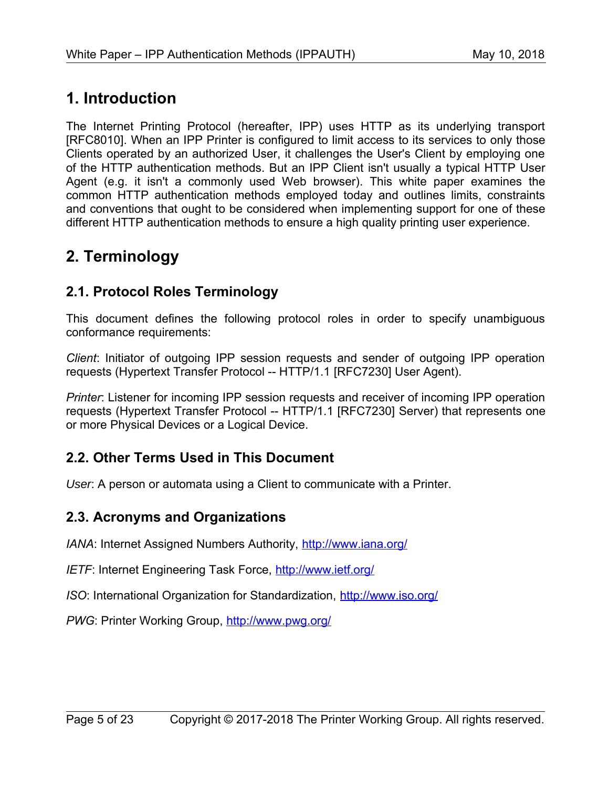# **1. Introduction**

The Internet Printing Protocol (hereafter, IPP) uses HTTP as its underlying transport [\[RFC8010\].](#page-19-0) When an IPP Printer is configured to limit access to its services to only those Clients operated by an authorized User, it challenges the User's Client by employing one of the HTTP authentication methods. But an IPP Client isn't usually a typical HTTP User Agent (e.g. it isn't a commonly used Web browser). This white paper examines the common HTTP authentication methods employed today and outlines limits, constraints and conventions that ought to be considered when implementing support for one of these different HTTP authentication methods to ensure a high quality printing user experience.

# **2. Terminology**

## **2.1. Protocol Roles Terminology**

This document defines the following protocol roles in order to specify unambiguous conformance requirements:

*Client*: Initiator of outgoing IPP session requests and sender of outgoing IPP operation requests (Hypertext Transfer Protocol -- HTTP/1.1 [\[RFC7230\]](#page-19-1) User Agent).

*Printer*: Listener for incoming IPP session requests and receiver of incoming IPP operation requests (Hypertext Transfer Protocol -- HTTP/1.1 [\[RFC7230\]](#page-19-1) Server) that represents one or more Physical Devices or a Logical Device.

## **2.2. Other Terms Used in This Document**

User: A person or automata using a Client to communicate with a Printer.

### **2.3. Acronyms and Organizations**

*IANA*: Internet Assigned Numbers Authority,<http://www.iana.org/>

*IETF*: Internet Engineering Task Force,<http://www.ietf.org/>

*ISO*: International Organization for Standardization,<http://www.iso.org/>

PWG: Printer Working Group,<http://www.pwg.org/>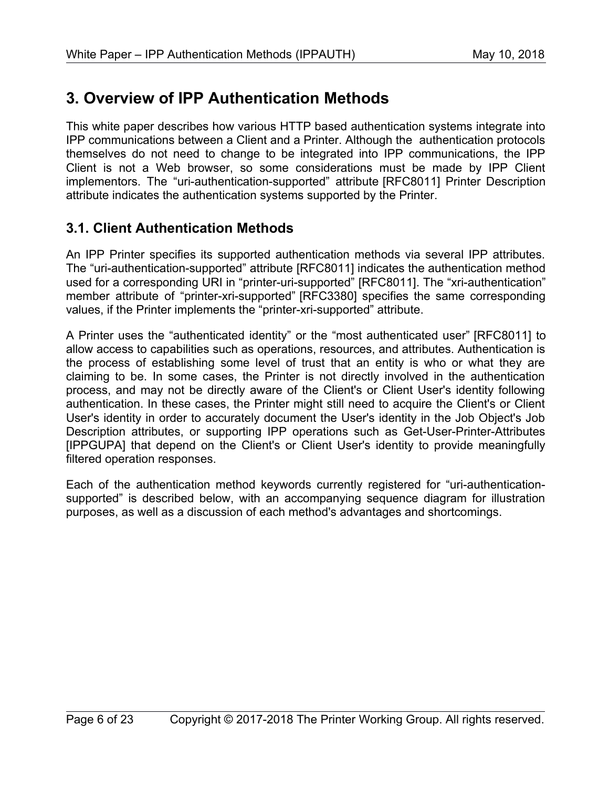# **3. Overview of IPP Authentication Methods**

This white paper describes how various HTTP based authentication systems integrate into IPP communications between a Client and a Printer. Although the authentication protocols themselves do not need to change to be integrated into IPP communications, the IPP Client is not a Web browser, so some considerations must be made by IPP Client implementors. The "uri-authentication-supported" attribute [\[RFC8011\]](#page-19-2) Printer Description attribute indicates the authentication systems supported by the Printer.

## **3.1. Client Authentication Methods**

An IPP Printer specifies its supported authentication methods via several IPP attributes. The "uri-authentication-supported" attribute [\[RFC8011\]](#page-19-2) indicates the authentication method used for a corresponding URI in "printer-uri-supported" [\[RFC8011\].](#page-19-2) The "xri-authentication" member attribute of "printer-xri-supported" [\[RFC3380\]](#page-18-0) specifies the same corresponding values, if the Printer implements the "printer-xri-supported" attribute.

A Printer uses the "authenticated identity" or the "most authenticated user" [\[RFC8011\]](#page-19-2) to allow access to capabilities such as operations, resources, and attributes. Authentication is the process of establishing some level of trust that an entity is who or what they are claiming to be. In some cases, the Printer is not directly involved in the authentication process, and may not be directly aware of the Client's or Client User's identity following authentication. In these cases, the Printer might still need to acquire the Client's or Client User's identity in order to accurately document the User's identity in the Job Object's Job Description attributes, or supporting IPP operations such as Get-User-Printer-Attributes [\[IPPGUPA\]](#page-20-0) that depend on the Client's or Client User's identity to provide meaningfully filtered operation responses.

Each of the authentication method keywords currently registered for "uri-authenticationsupported" is described below, with an accompanying sequence diagram for illustration purposes, as well as a discussion of each method's advantages and shortcomings.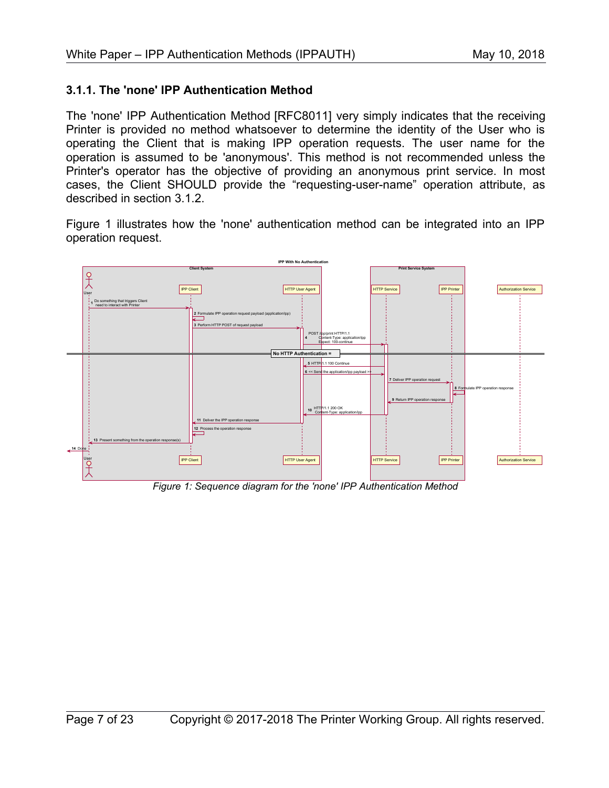#### **3.1.1. The 'none' IPP Authentication Method**

The 'none' IPP Authentication Method [\[RFC8011\]](#page-19-2) very simply indicates that the receiving Printer is provided no method whatsoever to determine the identity of the User who is operating the Client that is making IPP operation requests. The user name for the operation is assumed to be 'anonymous'. This method is not recommended unless the Printer's operator has the objective of providing an anonymous print service. In most cases, the Client SHOULD provide the "requesting-user-name" operation attribute, as described in section [3.1.2.](#page-7-0)

[Figure 1](#page-6-0) illustrates how the 'none' authentication method can be integrated into an IPP operation request.



<span id="page-6-0"></span>*Figure 1: Sequence diagram for the 'none' IPP Authentication Method*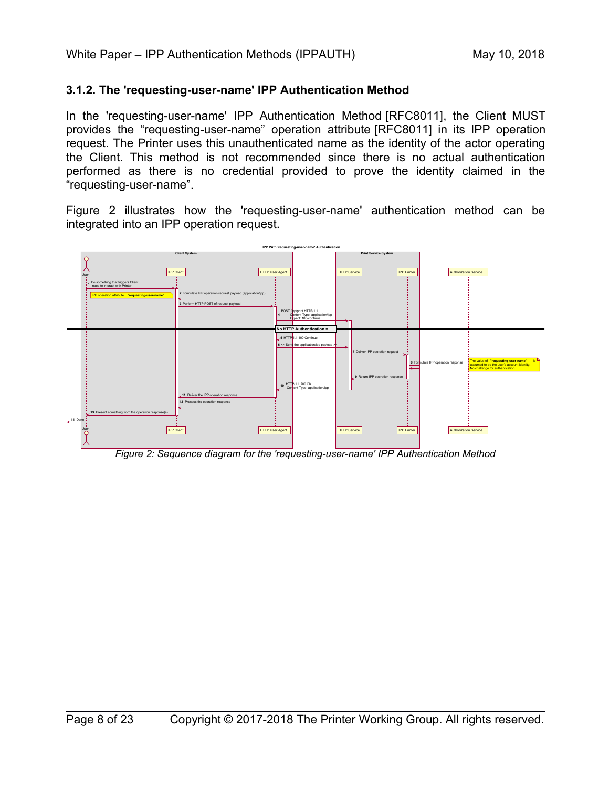#### <span id="page-7-0"></span>**3.1.2. The 'requesting-user-name' IPP Authentication Method**

In the 'requesting-user-name' IPP Authentication Method [\[RFC8011\],](#page-19-2) the Client MUST provides the "requesting-user-name" operation attribute [\[RFC8011\]](#page-19-2) in its IPP operation request. The Printer uses this unauthenticated name as the identity of the actor operating the Client. This method is not recommended since there is no actual authentication performed as there is no credential provided to prove the identity claimed in the "requesting-user-name".

[Figure 2](#page-7-1) illustrates how the 'requesting-user-name' authentication method can be integrated into an IPP operation request.



<span id="page-7-1"></span>*Figure 2: Sequence diagram for the 'requesting-user-name' IPP Authentication Method*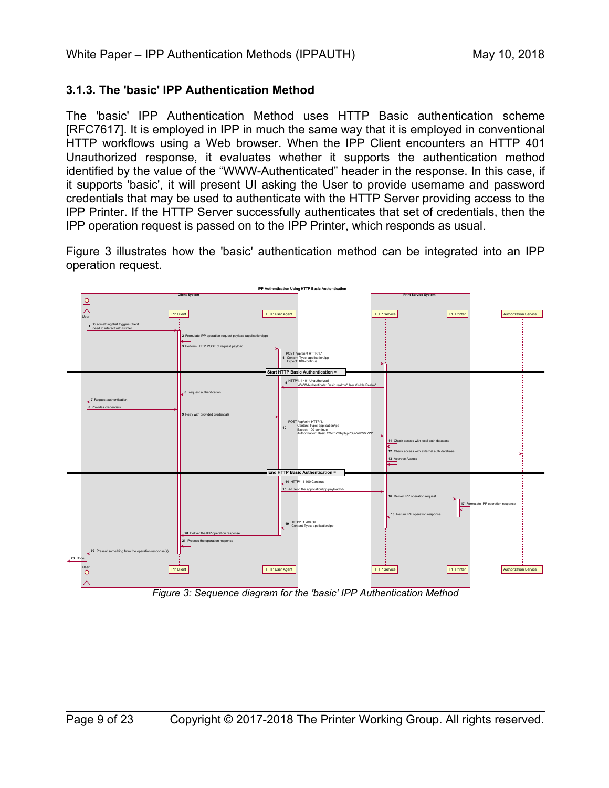#### **3.1.3. The 'basic' IPP Authentication Method**

The 'basic' IPP Authentication Method uses HTTP Basic authentication scheme [\[RFC7617\].](#page-19-3) It is employed in IPP in much the same way that it is employed in conventional HTTP workflows using a Web browser. When the IPP Client encounters an HTTP 401 Unauthorized response, it evaluates whether it supports the authentication method identified by the value of the "WWW-Authenticated" header in the response. In this case, if it supports 'basic', it will present UI asking the User to provide username and password credentials that may be used to authenticate with the HTTP Server providing access to the IPP Printer. If the HTTP Server successfully authenticates that set of credentials, then the IPP operation request is passed on to the IPP Printer, which responds as usual.

[Figure 3](#page-8-0) illustrates how the 'basic' authentication method can be integrated into an IPP operation request.



<span id="page-8-0"></span>*Figure 3: Sequence diagram for the 'basic' IPP Authentication Method*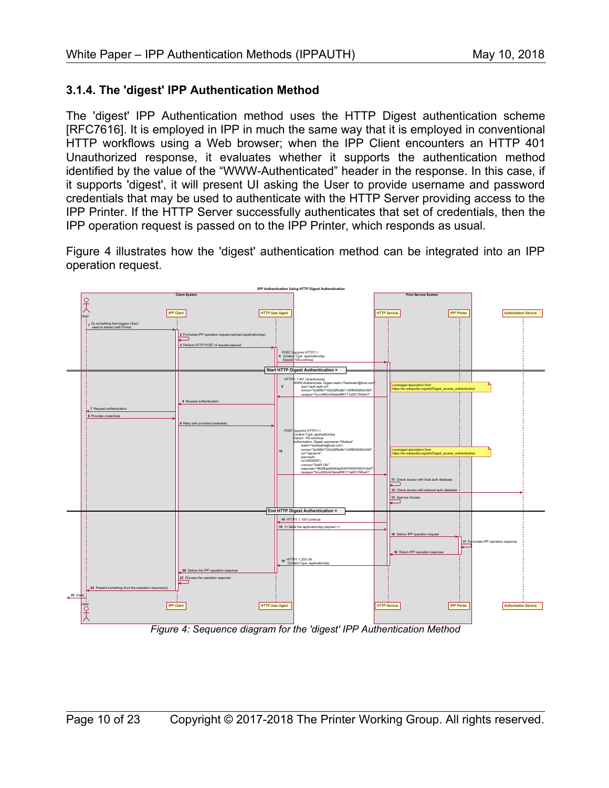#### **3.1.4. The 'digest' IPP Authentication Method**

The 'digest' IPP Authentication method uses the HTTP Digest authentication scheme [\[RFC7616\].](#page-19-4) It is employed in IPP in much the same way that it is employed in conventional HTTP workflows using a Web browser; when the IPP Client encounters an HTTP 401 Unauthorized response, it evaluates whether it supports the authentication method identified by the value of the "WWW-Authenticated" header in the response. In this case, if it supports 'digest', it will present UI asking the User to provide username and password credentials that may be used to authenticate with the HTTP Server providing access to the IPP Printer. If the HTTP Server successfully authenticates that set of credentials, then the IPP operation request is passed on to the IPP Printer, which responds as usual.

[Figure 4](#page-9-0) illustrates how the 'digest' authentication method can be integrated into an IPP operation request.



<span id="page-9-0"></span>*Figure 4: Sequence diagram for the 'digest' IPP Authentication Method*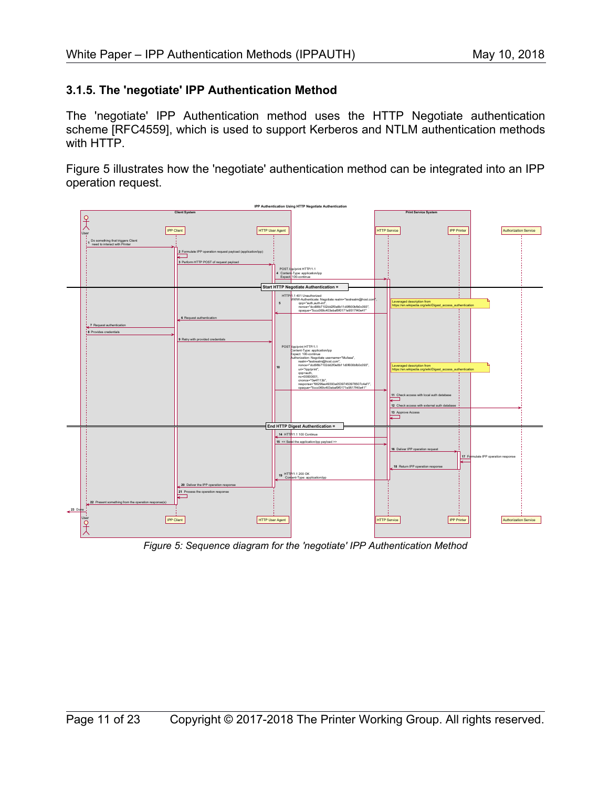#### **3.1.5. The 'negotiate' IPP Authentication Method**

The 'negotiate' IPP Authentication method uses the HTTP Negotiate authentication scheme [\[RFC4559\],](#page-19-5) which is used to support Kerberos and NTLM authentication methods with HTTP.

[Figure 5](#page-10-0) illustrates how the 'negotiate' authentication method can be integrated into an IPP operation request.



<span id="page-10-0"></span>*Figure 5: Sequence diagram for the 'negotiate' IPP Authentication Method*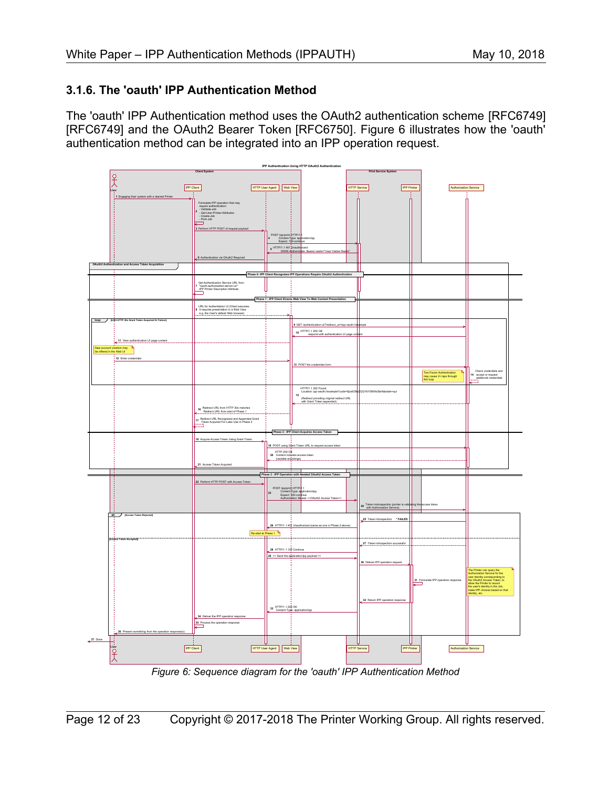#### **3.1.6. The 'oauth' IPP Authentication Method**

The 'oauth' IPP Authentication method uses the OAuth2 authentication scheme [\[RFC6749\]](#page-19-7) [\[RFC6749\]](#page-19-7) and the OAuth2 Bearer Token [\[RFC6750\].](#page-19-6) [Figure 6](#page-11-0) illustrates how the 'oauth' authentication method can be integrated into an IPP operation request.



<span id="page-11-0"></span>*Figure 6: Sequence diagram for the 'oauth' IPP Authentication Method*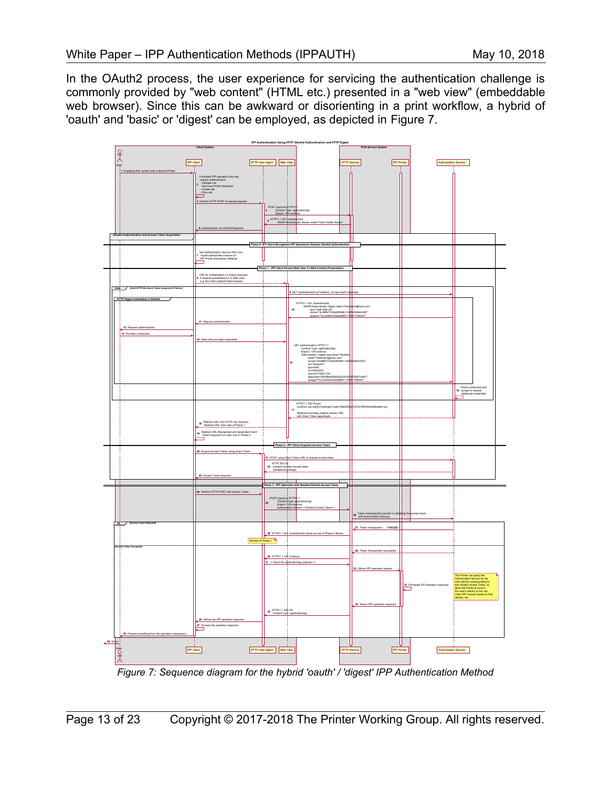In the OAuth2 process, the user experience for servicing the authentication challenge is commonly provided by "web content" (HTML etc.) presented in a "web view" (embeddable web browser). Since this can be awkward or disorienting in a print workflow, a hybrid of 'oauth' and 'basic' or 'digest' can be employed, as depicted in [Figure 7.](#page-12-0)



<span id="page-12-0"></span>*Figure 7: Sequence diagram for the hybrid 'oauth' / 'digest' IPP Authentication Method*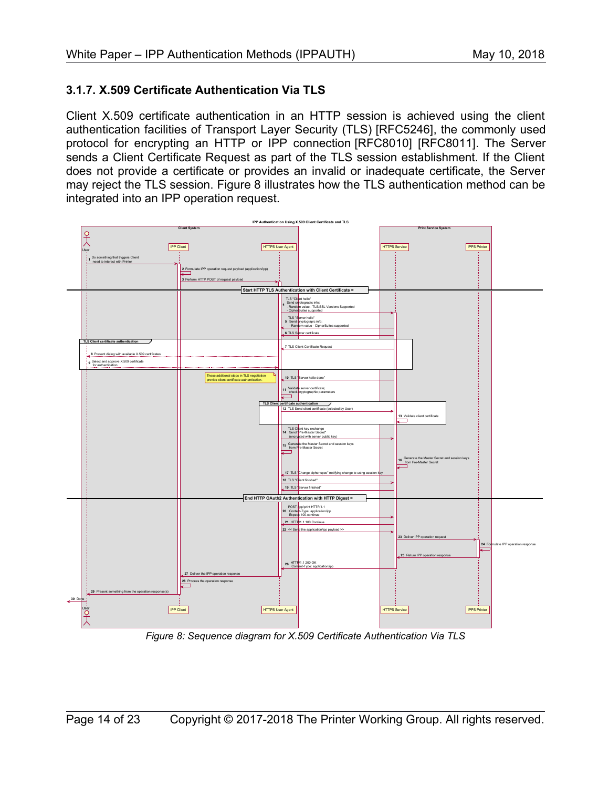#### **3.1.7. X.509 Certificate Authentication Via TLS**

Client X.509 certificate authentication in an HTTP session is achieved using the client authentication facilities of Transport Layer Security (TLS) [\[RFC5246\],](#page-19-8) the commonly used protocol for encrypting an HTTP or IPP connection [\[RFC8010\]](#page-19-0) [\[RFC8011\].](#page-19-2) The Server sends a Client Certificate Request as part of the TLS session establishment. If the Client does not provide a certificate or provides an invalid or inadequate certificate, the Server may reject the TLS session. [Figure 8](#page-13-0) illustrates how the TLS authentication method can be integrated into an IPP operation request.



<span id="page-13-0"></span>*Figure 8: Sequence diagram for X.509 Certificate Authentication Via TLS*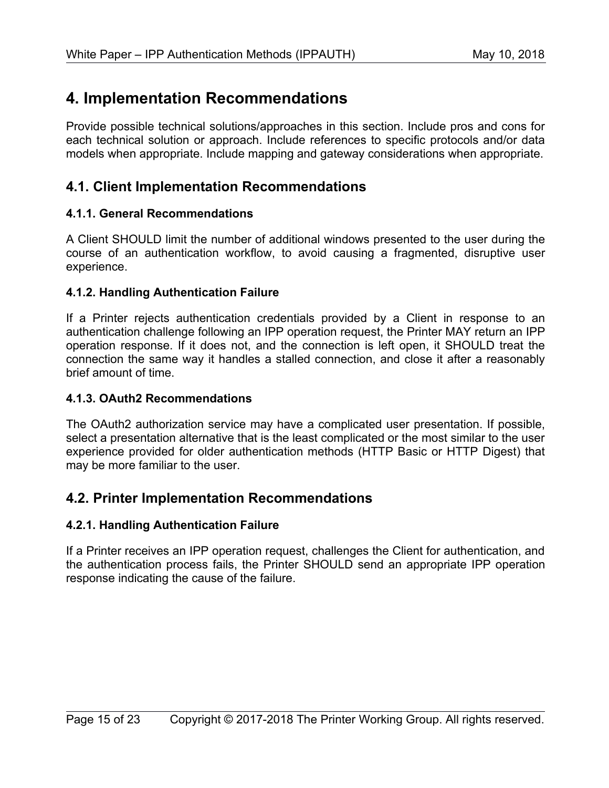# **4. Implementation Recommendations**

Provide possible technical solutions/approaches in this section. Include pros and cons for each technical solution or approach. Include references to specific protocols and/or data models when appropriate. Include mapping and gateway considerations when appropriate.

### **4.1. Client Implementation Recommendations**

#### **4.1.1. General Recommendations**

A Client SHOULD limit the number of additional windows presented to the user during the course of an authentication workflow, to avoid causing a fragmented, disruptive user experience.

#### **4.1.2. Handling Authentication Failure**

If a Printer rejects authentication credentials provided by a Client in response to an authentication challenge following an IPP operation request, the Printer MAY return an IPP operation response. If it does not, and the connection is left open, it SHOULD treat the connection the same way it handles a stalled connection, and close it after a reasonably brief amount of time.

#### **4.1.3. OAuth2 Recommendations**

The OAuth2 authorization service may have a complicated user presentation. If possible, select a presentation alternative that is the least complicated or the most similar to the user experience provided for older authentication methods (HTTP Basic or HTTP Digest) that may be more familiar to the user.

### **4.2. Printer Implementation Recommendations**

#### **4.2.1. Handling Authentication Failure**

If a Printer receives an IPP operation request, challenges the Client for authentication, and the authentication process fails, the Printer SHOULD send an appropriate IPP operation response indicating the cause of the failure.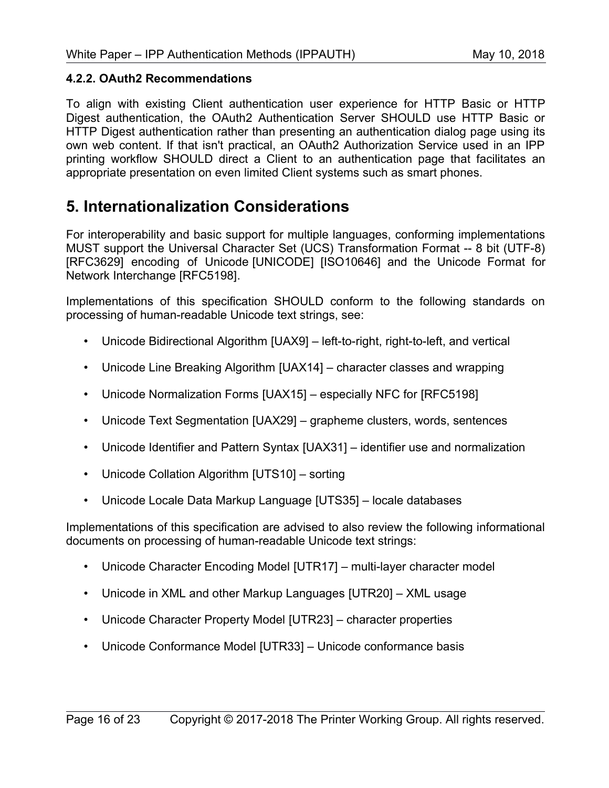#### **4.2.2. OAuth2 Recommendations**

To align with existing Client authentication user experience for HTTP Basic or HTTP Digest authentication, the OAuth2 Authentication Server SHOULD use HTTP Basic or HTTP Digest authentication rather than presenting an authentication dialog page using its own web content. If that isn't practical, an OAuth2 Authorization Service used in an IPP printing workflow SHOULD direct a Client to an authentication page that facilitates an appropriate presentation on even limited Client systems such as smart phones.

## **5. Internationalization Considerations**

For interoperability and basic support for multiple languages, conforming implementations MUST support the Universal Character Set (UCS) Transformation Format -- 8 bit (UTF-8) [\[RFC3629\]](#page-18-2) encoding of Unicode [\[UNICODE\]](#page-20-11) [\[ISO10646\]](#page-18-1) and the Unicode Format for Network Interchange [\[RFC5198\].](#page-19-9)

Implementations of this specification SHOULD conform to the following standards on processing of human-readable Unicode text strings, see:

- Unicode Bidirectional Algorithm [\[UAX9\]](#page-19-10)  left-to-right, right-to-left, and vertical
- Unicode Line Breaking Algorithm [\[UAX14\]](#page-20-10)  character classes and wrapping
- Unicode Normalization Forms [\[UAX15\]](#page-20-9)  especially NFC for [\[RFC5198\]](#page-19-9)
- Unicode Text Segmentation [\[UAX29\]](#page-20-8)  grapheme clusters, words, sentences
- Unicode Identifier and Pattern Syntax [\[UAX31\]](#page-20-7)  identifier use and normalization
- Unicode Collation Algorithm [\[UTS10\]](#page-20-6)  sorting
- Unicode Locale Data Markup Language [\[UTS35\]](#page-20-5)  locale databases

Implementations of this specification are advised to also review the following informational documents on processing of human-readable Unicode text strings:

- Unicode Character Encoding Model [\[UTR17\]](#page-20-4)  multi-layer character model
- Unicode in XML and other Markup Languages [\[UTR20\]](#page-20-3)  XML usage
- Unicode Character Property Model [\[UTR23\]](#page-20-2)  character properties
- Unicode Conformance Model [\[UTR33\]](#page-20-1)  Unicode conformance basis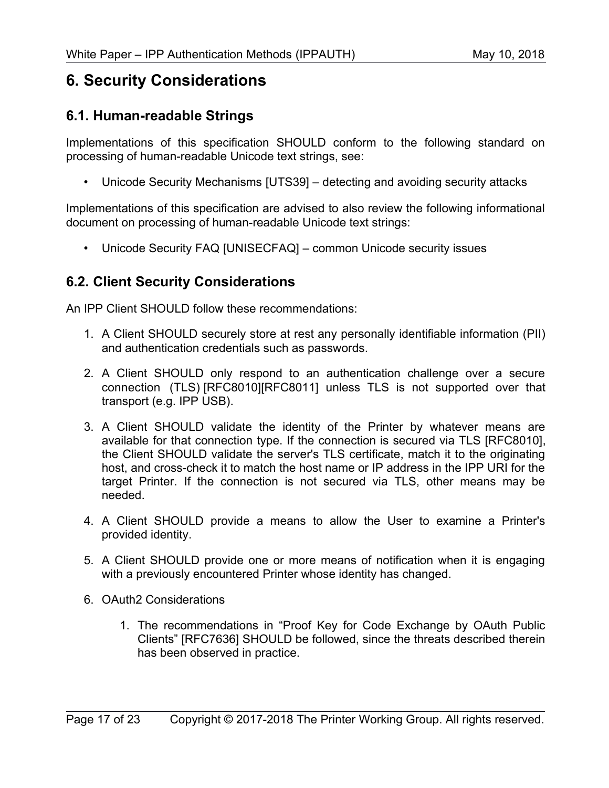## **6. Security Considerations**

### **6.1. Human-readable Strings**

Implementations of this specification SHOULD conform to the following standard on processing of human-readable Unicode text strings, see:

• Unicode Security Mechanisms [\[UTS39\]](#page-20-13) – detecting and avoiding security attacks

Implementations of this specification are advised to also review the following informational document on processing of human-readable Unicode text strings:

• Unicode Security FAQ [\[UNISECFAQ\]](#page-20-12) – common Unicode security issues

### **6.2. Client Security Considerations**

An IPP Client SHOULD follow these recommendations:

- 1. A Client SHOULD securely store at rest any personally identifiable information (PII) and authentication credentials such as passwords.
- 2. A Client SHOULD only respond to an authentication challenge over a secure connection (TLS) [\[RFC8010\]](#page-19-0)[\[RFC8011\]](#page-19-2) unless TLS is not supported over that transport (e.g. IPP USB).
- 3. A Client SHOULD validate the identity of the Printer by whatever means are available for that connection type. If the connection is secured via TLS [\[RFC8010\],](#page-19-0) the Client SHOULD validate the server's TLS certificate, match it to the originating host, and cross-check it to match the host name or IP address in the IPP URI for the target Printer. If the connection is not secured via TLS, other means may be needed.
- 4. A Client SHOULD provide a means to allow the User to examine a Printer's provided identity.
- 5. A Client SHOULD provide one or more means of notification when it is engaging with a previously encountered Printer whose identity has changed.
- 6. OAuth2 Considerations
	- 1. The recommendations in "Proof Key for Code Exchange by OAuth Public Clients" [\[RFC7636\]](#page-19-11) SHOULD be followed, since the threats described therein has been observed in practice.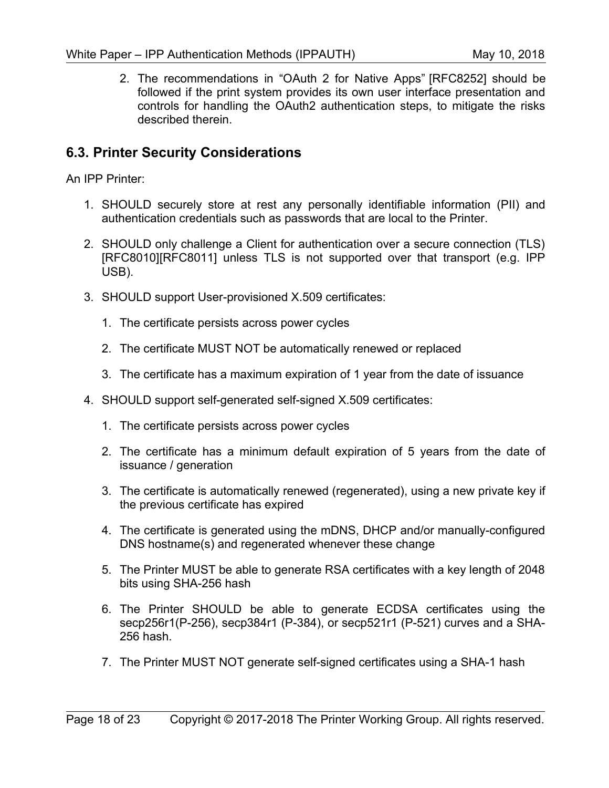2. The recommendations in "OAuth 2 for Native Apps" [\[RFC8252\]](#page-19-12) should be followed if the print system provides its own user interface presentation and controls for handling the OAuth2 authentication steps, to mitigate the risks described therein.

## **6.3. Printer Security Considerations**

An IPP Printer:

- 1. SHOULD securely store at rest any personally identifiable information (PII) and authentication credentials such as passwords that are local to the Printer.
- 2. SHOULD only challenge a Client for authentication over a secure connection (TLS) [\[RFC8010\]](#page-19-0)[\[RFC8011\]](#page-19-2) unless TLS is not supported over that transport (e.g. IPP USB).
- 3. SHOULD support User-provisioned X.509 certificates:
	- 1. The certificate persists across power cycles
	- 2. The certificate MUST NOT be automatically renewed or replaced
	- 3. The certificate has a maximum expiration of 1 year from the date of issuance
- 4. SHOULD support self-generated self-signed X.509 certificates:
	- 1. The certificate persists across power cycles
	- 2. The certificate has a minimum default expiration of 5 years from the date of issuance / generation
	- 3. The certificate is automatically renewed (regenerated), using a new private key if the previous certificate has expired
	- 4. The certificate is generated using the mDNS, DHCP and/or manually-configured DNS hostname(s) and regenerated whenever these change
	- 5. The Printer MUST be able to generate RSA certificates with a key length of 2048 bits using SHA-256 hash
	- 6. The Printer SHOULD be able to generate ECDSA certificates using the secp256r1(P-256), secp384r1 (P-384), or secp521r1 (P-521) curves and a SHA-256 hash.
	- 7. The Printer MUST NOT generate self-signed certificates using a SHA-1 hash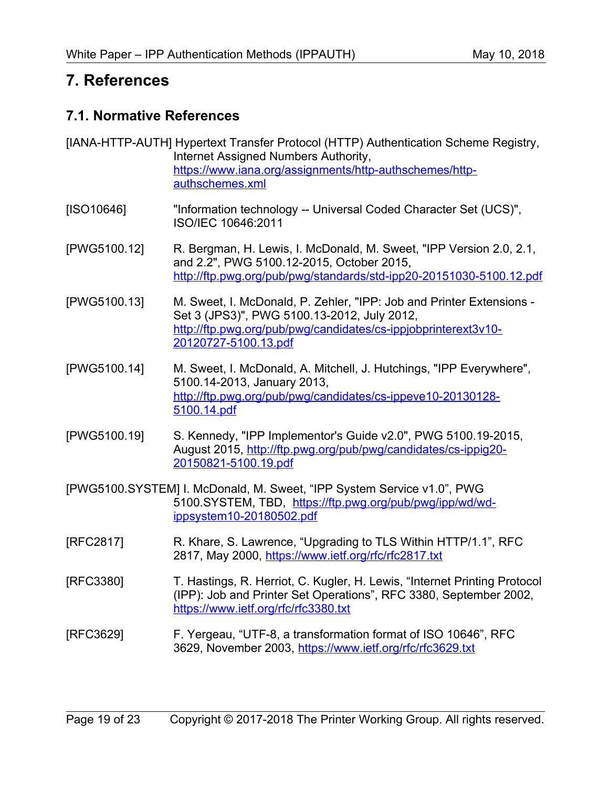# **7. References**

## **7.1. Normative References**

- [IANA-HTTP-AUTH] Hypertext Transfer Protocol (HTTP) Authentication Scheme Registry, Internet Assigned Numbers Authority, [https://www.iana.org/assignments/http-authschemes/http](https://www.iana.org/assignments/http-authschemes/http-authschemes.xml)[authschemes.xml](https://www.iana.org/assignments/http-authschemes/http-authschemes.xml)
- <span id="page-18-1"></span>[ISO10646] "Information technology -- Universal Coded Character Set (UCS)", ISO/IEC 10646:2011
- [PWG5100.12] R. Bergman, H. Lewis, I. McDonald, M. Sweet, "IPP Version 2.0, 2.1, and 2.2", PWG 5100.12-2015, October 2015, <http://ftp.pwg.org/pub/pwg/standards/std-ipp20-20151030-5100.12.pdf>
- [PWG5100.13] M. Sweet, I. McDonald, P. Zehler, "IPP: Job and Printer Extensions Set 3 (JPS3)", PWG 5100.13-2012, July 2012, [http://ftp.pwg.org/pub/pwg/candidates/cs-ippjobprinterext3v10-](http://ftp.pwg.org/pub/pwg/candidates/cs-ippjobprinterext3v10-20120727-5100.13.pdf) [20120727-5100.13.pdf](http://ftp.pwg.org/pub/pwg/candidates/cs-ippjobprinterext3v10-20120727-5100.13.pdf)
- [PWG5100.14] M. Sweet, I. McDonald, A. Mitchell, J. Hutchings, "IPP Everywhere", 5100.14-2013, January 2013, [http://ftp.pwg.org/pub/pwg/candidates/cs-ippeve10-20130128-](http://ftp.pwg.org/pub/pwg/candidates/cs-ippeve10-20130128-5100.14.pdf) [5100.14.pdf](http://ftp.pwg.org/pub/pwg/candidates/cs-ippeve10-20130128-5100.14.pdf)
- [PWG5100.19] S. Kennedy, "IPP Implementor's Guide v2.0", PWG 5100.19-2015, August 2015, [http://ftp.pwg.org/pub/pwg/candidates/cs-ippig20-](http://ftp.pwg.org/pub/pwg/candidates/cs-ippig20-20150821-5100.19.pdf) [20150821-5100.19.pdf](http://ftp.pwg.org/pub/pwg/candidates/cs-ippig20-20150821-5100.19.pdf)
- [PWG5100.SYSTEM] I. McDonald, M. Sweet, "IPP System Service v1.0", PWG 5100.SYSTEM, TBD, [https://ftp.pwg.org/pub/pwg/ipp/wd/wd](https://ftp.pwg.org/pub/pwg/ipp/wd/wd-ippsystem10-20180502.pdf)[ippsystem10-20180502.pdf](https://ftp.pwg.org/pub/pwg/ipp/wd/wd-ippsystem10-20180502.pdf)
- [RFC2817] R. Khare, S. Lawrence, "Upgrading to TLS Within HTTP/1.1", RFC 2817, May 2000,<https://www.ietf.org/rfc/rfc2817.txt>
- <span id="page-18-0"></span>[RFC3380] T. Hastings, R. Herriot, C. Kugler, H. Lewis, "Internet Printing Protocol (IPP): Job and Printer Set Operations", RFC 3380, September 2002, <https://www.ietf.org/rfc/rfc3380.txt>
- <span id="page-18-2"></span>[RFC3629] F. Yergeau, "UTF-8, a transformation format of ISO 10646", RFC 3629, November 2003,<https://www.ietf.org/rfc/rfc3629.txt>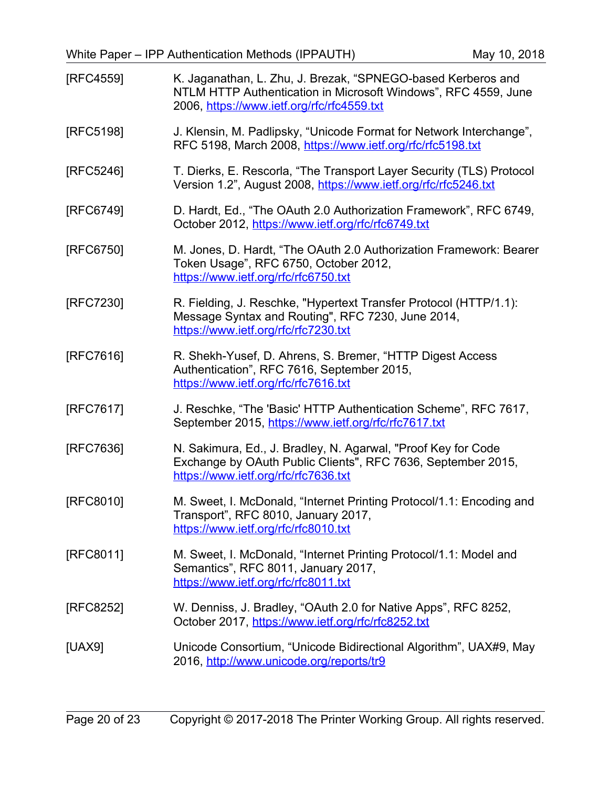<span id="page-19-12"></span><span id="page-19-11"></span><span id="page-19-10"></span><span id="page-19-9"></span><span id="page-19-8"></span><span id="page-19-7"></span><span id="page-19-6"></span><span id="page-19-5"></span><span id="page-19-4"></span><span id="page-19-3"></span><span id="page-19-2"></span><span id="page-19-1"></span><span id="page-19-0"></span>

| [RFC4559] | K. Jaganathan, L. Zhu, J. Brezak, "SPNEGO-based Kerberos and<br>NTLM HTTP Authentication in Microsoft Windows", RFC 4559, June<br>2006, https://www.ietf.org/rfc/rfc4559.txt |
|-----------|------------------------------------------------------------------------------------------------------------------------------------------------------------------------------|
| [RFC5198] | J. Klensin, M. Padlipsky, "Unicode Format for Network Interchange",<br>RFC 5198, March 2008, https://www.ietf.org/rfc/rfc5198.txt                                            |
| [RFC5246] | T. Dierks, E. Rescorla, "The Transport Layer Security (TLS) Protocol<br>Version 1.2", August 2008, https://www.ietf.org/rfc/rfc5246.txt                                      |
| [RFC6749] | D. Hardt, Ed., "The OAuth 2.0 Authorization Framework", RFC 6749,<br>October 2012, https://www.ietf.org/rfc/rfc6749.txt                                                      |
| [RFC6750] | M. Jones, D. Hardt, "The OAuth 2.0 Authorization Framework: Bearer<br>Token Usage", RFC 6750, October 2012,<br>https://www.ietf.org/rfc/rfc6750.txt                          |
| [RFC7230] | R. Fielding, J. Reschke, "Hypertext Transfer Protocol (HTTP/1.1):<br>Message Syntax and Routing", RFC 7230, June 2014,<br>https://www.ietf.org/rfc/rfc7230.txt               |
| [RFC7616] | R. Shekh-Yusef, D. Ahrens, S. Bremer, "HTTP Digest Access"<br>Authentication", RFC 7616, September 2015,<br>https://www.ietf.org/rfc/rfc7616.txt                             |
| [RFC7617] | J. Reschke, "The 'Basic' HTTP Authentication Scheme", RFC 7617,<br>September 2015, https://www.ietf.org/rfc/rfc7617.txt                                                      |
| [RFC7636] | N. Sakimura, Ed., J. Bradley, N. Agarwal, "Proof Key for Code<br>Exchange by OAuth Public Clients", RFC 7636, September 2015,<br>https://www.ietf.org/rfc/rfc7636.txt        |
| [RFC8010] | M. Sweet, I. McDonald, "Internet Printing Protocol/1.1: Encoding and<br>Transport", RFC 8010, January 2017,<br>https://www.ietf.org/rfc/rfc8010.txt                          |
| [RFC8011] | M. Sweet, I. McDonald, "Internet Printing Protocol/1.1: Model and<br>Semantics", RFC 8011, January 2017,<br>https://www.ietf.org/rfc/rfc8011.txt                             |
| [RFC8252] | W. Denniss, J. Bradley, "OAuth 2.0 for Native Apps", RFC 8252,<br>October 2017, https://www.ietf.org/rfc/rfc8252.txt                                                         |
| [UAX9]    | Unicode Consortium, "Unicode Bidirectional Algorithm", UAX#9, May<br>2016, http://www.unicode.org/reports/tr9                                                                |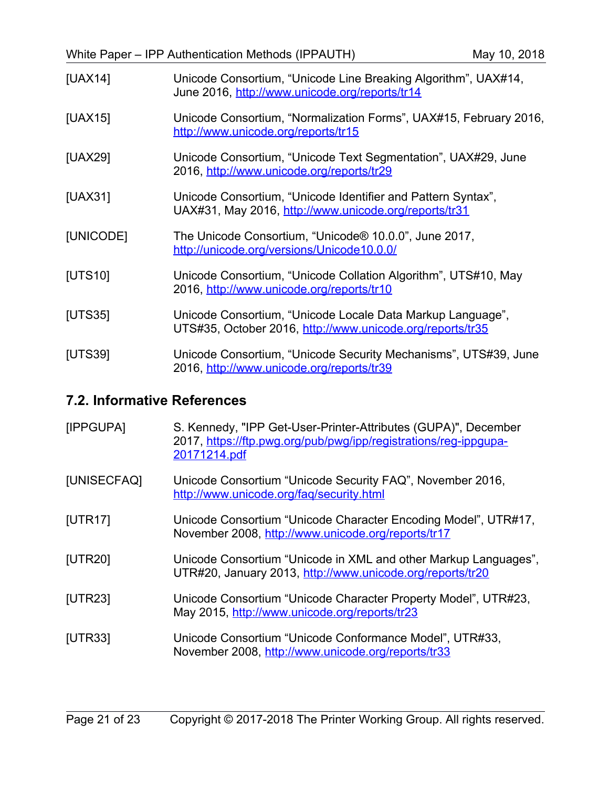<span id="page-20-11"></span><span id="page-20-10"></span><span id="page-20-9"></span><span id="page-20-8"></span><span id="page-20-7"></span>

| [UAX14]        | Unicode Consortium, "Unicode Line Breaking Algorithm", UAX#14,<br>June 2016, http://www.unicode.org/reports/tr14        |
|----------------|-------------------------------------------------------------------------------------------------------------------------|
| [UAX15]        | Unicode Consortium, "Normalization Forms", UAX#15, February 2016,<br>http://www.unicode.org/reports/tr15                |
| [UAX29]        | Unicode Consortium, "Unicode Text Segmentation", UAX#29, June<br>2016, http://www.unicode.org/reports/tr29              |
| [UAX31]        | Unicode Consortium, "Unicode Identifier and Pattern Syntax",<br>UAX#31, May 2016, http://www.unicode.org/reports/tr31   |
| [UNICODE]      | The Unicode Consortium, "Unicode® 10.0.0", June 2017,<br>http://unicode.org/versions/Unicode10.0.0/                     |
| [UTS10]        | Unicode Consortium, "Unicode Collation Algorithm", UTS#10, May<br>2016, http://www.unicode.org/reports/tr10             |
| <b>[UTS35]</b> | Unicode Consortium, "Unicode Locale Data Markup Language",<br>UTS#35, October 2016, http://www.unicode.org/reports/tr35 |
| [UTS39]        | Unicode Consortium, "Unicode Security Mechanisms", UTS#39, June<br>2016, http://www.unicode.org/reports/tr39            |

## <span id="page-20-13"></span><span id="page-20-6"></span><span id="page-20-5"></span>**7.2. Informative References**

<span id="page-20-12"></span><span id="page-20-4"></span><span id="page-20-3"></span><span id="page-20-2"></span><span id="page-20-1"></span><span id="page-20-0"></span>

| [IPPGUPA]      | S. Kennedy, "IPP Get-User-Printer-Attributes (GUPA)", December<br>2017, https://ftp.pwg.org/pub/pwg/ipp/registrations/reg-ippgupa-<br>20171214.pdf |
|----------------|----------------------------------------------------------------------------------------------------------------------------------------------------|
| [UNISECFAQ]    | Unicode Consortium "Unicode Security FAQ", November 2016,<br>http://www.unicode.org/fag/security.html                                              |
| [UTR17]        | Unicode Consortium "Unicode Character Encoding Model", UTR#17,<br>November 2008, http://www.unicode.org/reports/tr17                               |
| [UTR20]        | Unicode Consortium "Unicode in XML and other Markup Languages",<br>UTR#20, January 2013, http://www.unicode.org/reports/tr20                       |
| <b>[UTR23]</b> | Unicode Consortium "Unicode Character Property Model", UTR#23,<br>May 2015, http://www.unicode.org/reports/tr23                                    |
| <b>[UTR33]</b> | Unicode Consortium "Unicode Conformance Model", UTR#33,<br>November 2008, http://www.unicode.org/reports/tr33                                      |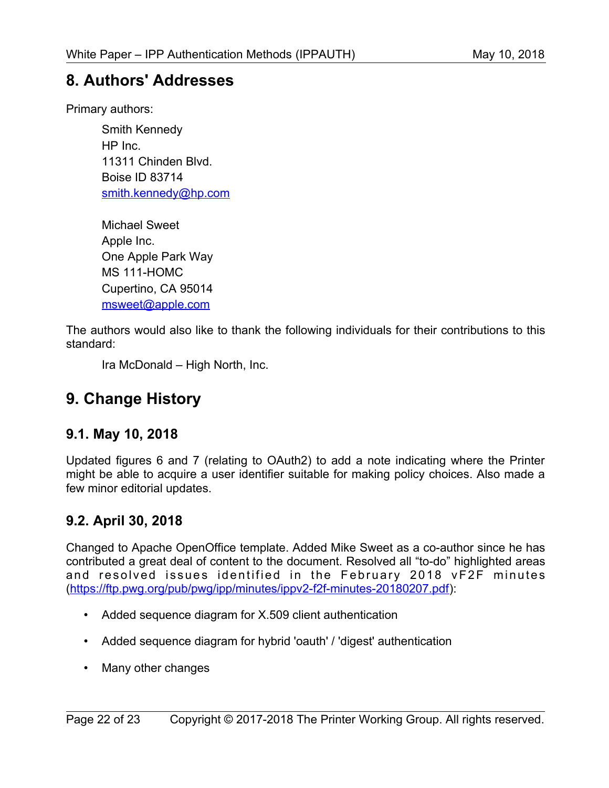# **8. Authors' Addresses**

Primary authors:

Smith Kennedy HP Inc. 11311 Chinden Blvd. Boise ID 83714 [smith.kennedy@hp.com](mailto:smith.kennedy@hp.com)

<span id="page-21-0"></span>Michael Sweet Apple Inc. One Apple Park Way MS 111-HOMC Cupertino, CA 95014 [msweet@apple.com](mailto:msweet@apple.com)

The authors would also like to thank the following individuals for their contributions to this standard:

Ira McDonald – High North, Inc.

# **9. Change History**

## **9.1. May 10, 2018**

Updated figures 6 and 7 (relating to OAuth2) to add a note indicating where the Printer might be able to acquire a user identifier suitable for making policy choices. Also made a few minor editorial updates.

## **9.2. April 30, 2018**

Changed to Apache OpenOffice template. Added Mike Sweet as a co-author since he has contributed a great deal of content to the document. Resolved all "to-do" highlighted areas and resolved issues identified in the February 2018 vF2F minutes [\(https://ftp.pwg.org/pub/pwg/ipp/minutes/ippv2-f2f-minutes-20180207.pdf\)](https://ftp.pwg.org/pub/pwg/ipp/minutes/ippv2-f2f-minutes-20180207.pdf):

- Added sequence diagram for X.509 client authentication
- Added sequence diagram for hybrid 'oauth' / 'digest' authentication
- Many other changes